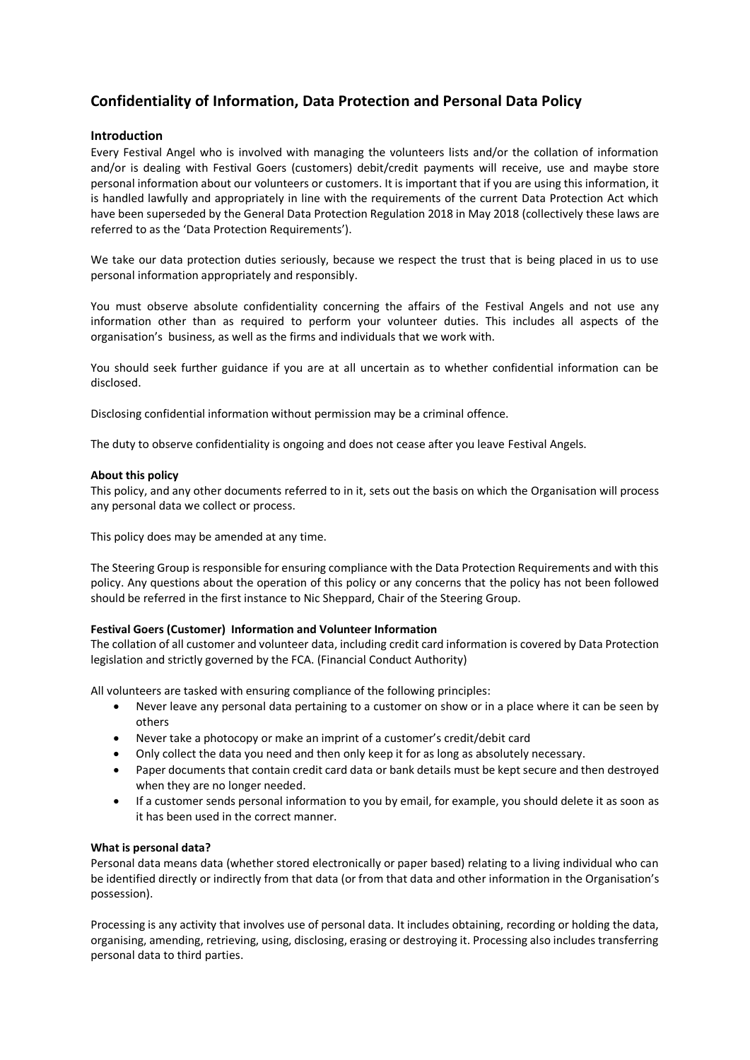# **Confidentiality of Information, Data Protection and Personal Data Policy**

## **Introduction**

Every Festival Angel who is involved with managing the volunteers lists and/or the collation of information and/or is dealing with Festival Goers (customers) debit/credit payments will receive, use and maybe store personal information about our volunteers or customers. It is important that if you are using this information, it is handled lawfully and appropriately in line with the requirements of the current Data Protection Act which have been superseded by the General Data Protection Regulation 2018 in May 2018 (collectively these laws are referred to as the 'Data Protection Requirements').

We take our data protection duties seriously, because we respect the trust that is being placed in us to use personal information appropriately and responsibly.

You must observe absolute confidentiality concerning the affairs of the Festival Angels and not use any information other than as required to perform your volunteer duties. This includes all aspects of the organisation's business, as well as the firms and individuals that we work with.

You should seek further guidance if you are at all uncertain as to whether confidential information can be disclosed.

Disclosing confidential information without permission may be a criminal offence.

The duty to observe confidentiality is ongoing and does not cease after you leave Festival Angels.

#### **About this policy**

This policy, and any other documents referred to in it, sets out the basis on which the Organisation will process any personal data we collect or process.

This policy does may be amended at any time.

The Steering Group is responsible for ensuring compliance with the Data Protection Requirements and with this policy. Any questions about the operation of this policy or any concerns that the policy has not been followed should be referred in the first instance to Nic Sheppard, Chair of the Steering Group.

## **Festival Goers (Customer) Information and Volunteer Information**

The collation of all customer and volunteer data, including credit card information is covered by Data Protection legislation and strictly governed by the FCA. (Financial Conduct Authority)

All volunteers are tasked with ensuring compliance of the following principles:

- Never leave any personal data pertaining to a customer on show or in a place where it can be seen by others
- Never take a photocopy or make an imprint of a customer's credit/debit card
- Only collect the data you need and then only keep it for as long as absolutely necessary.
- Paper documents that contain credit card data or bank details must be kept secure and then destroyed when they are no longer needed.
- If a customer sends personal information to you by email, for example, you should delete it as soon as it has been used in the correct manner.

## **What is personal data?**

Personal data means data (whether stored electronically or paper based) relating to a living individual who can be identified directly or indirectly from that data (or from that data and other information in the Organisation's possession).

Processing is any activity that involves use of personal data. It includes obtaining, recording or holding the data, organising, amending, retrieving, using, disclosing, erasing or destroying it. Processing also includes transferring personal data to third parties.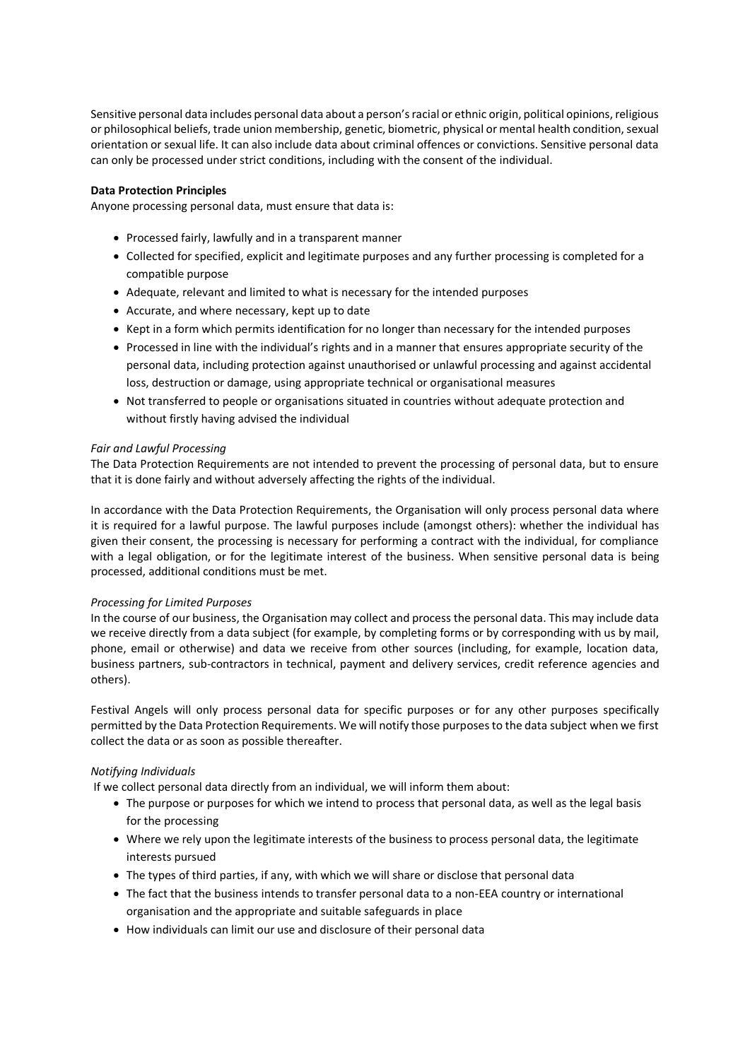Sensitive personal data includes personal data about a person's racial or ethnic origin, political opinions, religious or philosophical beliefs, trade union membership, genetic, biometric, physical or mental health condition, sexual orientation or sexual life. It can also include data about criminal offences or convictions. Sensitive personal data can only be processed under strict conditions, including with the consent of the individual.

## **Data Protection Principles**

Anyone processing personal data, must ensure that data is:

- Processed fairly, lawfully and in a transparent manner
- Collected for specified, explicit and legitimate purposes and any further processing is completed for a compatible purpose
- Adequate, relevant and limited to what is necessary for the intended purposes
- Accurate, and where necessary, kept up to date
- Kept in a form which permits identification for no longer than necessary for the intended purposes
- Processed in line with the individual's rights and in a manner that ensures appropriate security of the personal data, including protection against unauthorised or unlawful processing and against accidental loss, destruction or damage, using appropriate technical or organisational measures
- Not transferred to people or organisations situated in countries without adequate protection and without firstly having advised the individual

## *Fair and Lawful Processing*

The Data Protection Requirements are not intended to prevent the processing of personal data, but to ensure that it is done fairly and without adversely affecting the rights of the individual.

In accordance with the Data Protection Requirements, the Organisation will only process personal data where it is required for a lawful purpose. The lawful purposes include (amongst others): whether the individual has given their consent, the processing is necessary for performing a contract with the individual, for compliance with a legal obligation, or for the legitimate interest of the business. When sensitive personal data is being processed, additional conditions must be met.

## *Processing for Limited Purposes*

In the course of our business, the Organisation may collect and process the personal data. This may include data we receive directly from a data subject (for example, by completing forms or by corresponding with us by mail, phone, email or otherwise) and data we receive from other sources (including, for example, location data, business partners, sub-contractors in technical, payment and delivery services, credit reference agencies and others).

Festival Angels will only process personal data for specific purposes or for any other purposes specifically permitted by the Data Protection Requirements. We will notify those purposes to the data subject when we first collect the data or as soon as possible thereafter.

## *Notifying Individuals*

If we collect personal data directly from an individual, we will inform them about:

- The purpose or purposes for which we intend to process that personal data, as well as the legal basis for the processing
- Where we rely upon the legitimate interests of the business to process personal data, the legitimate interests pursued
- The types of third parties, if any, with which we will share or disclose that personal data
- The fact that the business intends to transfer personal data to a non-EEA country or international organisation and the appropriate and suitable safeguards in place
- How individuals can limit our use and disclosure of their personal data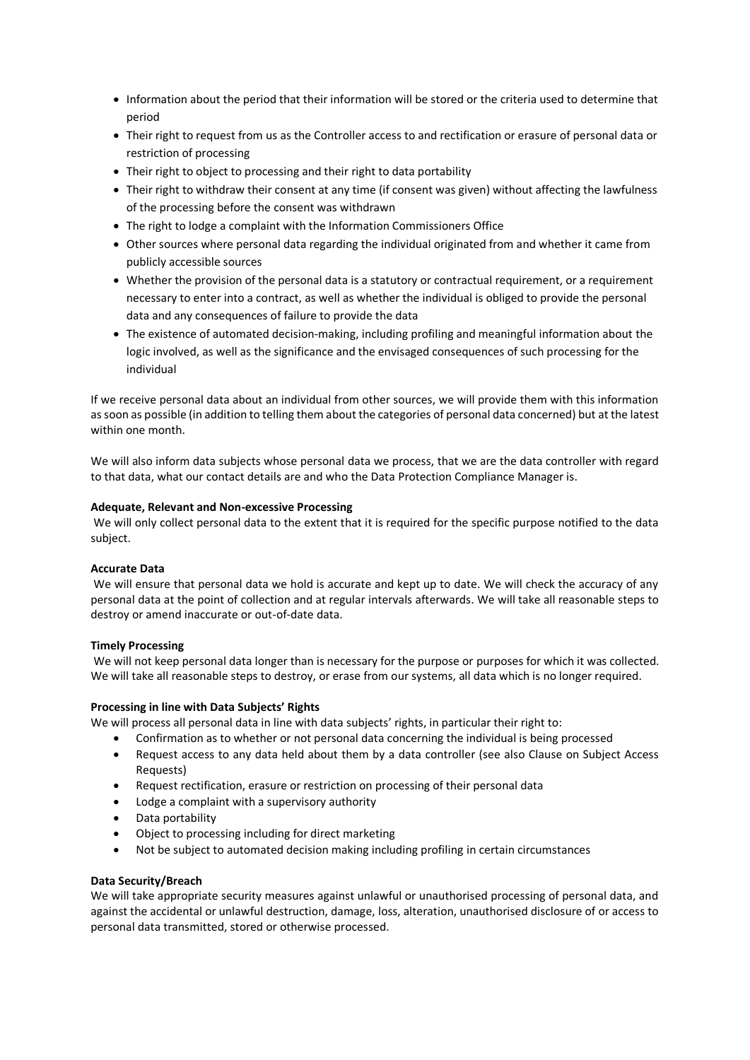- Information about the period that their information will be stored or the criteria used to determine that period
- Their right to request from us as the Controller access to and rectification or erasure of personal data or restriction of processing
- Their right to object to processing and their right to data portability
- Their right to withdraw their consent at any time (if consent was given) without affecting the lawfulness of the processing before the consent was withdrawn
- The right to lodge a complaint with the Information Commissioners Office
- Other sources where personal data regarding the individual originated from and whether it came from publicly accessible sources
- Whether the provision of the personal data is a statutory or contractual requirement, or a requirement necessary to enter into a contract, as well as whether the individual is obliged to provide the personal data and any consequences of failure to provide the data
- The existence of automated decision-making, including profiling and meaningful information about the logic involved, as well as the significance and the envisaged consequences of such processing for the individual

If we receive personal data about an individual from other sources, we will provide them with this information as soon as possible (in addition to telling them about the categories of personal data concerned) but at the latest within one month.

We will also inform data subjects whose personal data we process, that we are the data controller with regard to that data, what our contact details are and who the Data Protection Compliance Manager is.

## **Adequate, Relevant and Non-excessive Processing**

We will only collect personal data to the extent that it is required for the specific purpose notified to the data subject.

#### **Accurate Data**

We will ensure that personal data we hold is accurate and kept up to date. We will check the accuracy of any personal data at the point of collection and at regular intervals afterwards. We will take all reasonable steps to destroy or amend inaccurate or out-of-date data.

#### **Timely Processing**

We will not keep personal data longer than is necessary for the purpose or purposes for which it was collected. We will take all reasonable steps to destroy, or erase from our systems, all data which is no longer required.

#### **Processing in line with Data Subjects' Rights**

We will process all personal data in line with data subjects' rights, in particular their right to:

- Confirmation as to whether or not personal data concerning the individual is being processed
- Request access to any data held about them by a data controller (see also Clause on Subject Access Requests)
- Request rectification, erasure or restriction on processing of their personal data
- Lodge a complaint with a supervisory authority
- Data portability
- Object to processing including for direct marketing
- Not be subject to automated decision making including profiling in certain circumstances

#### **Data Security/Breach**

We will take appropriate security measures against unlawful or unauthorised processing of personal data, and against the accidental or unlawful destruction, damage, loss, alteration, unauthorised disclosure of or access to personal data transmitted, stored or otherwise processed.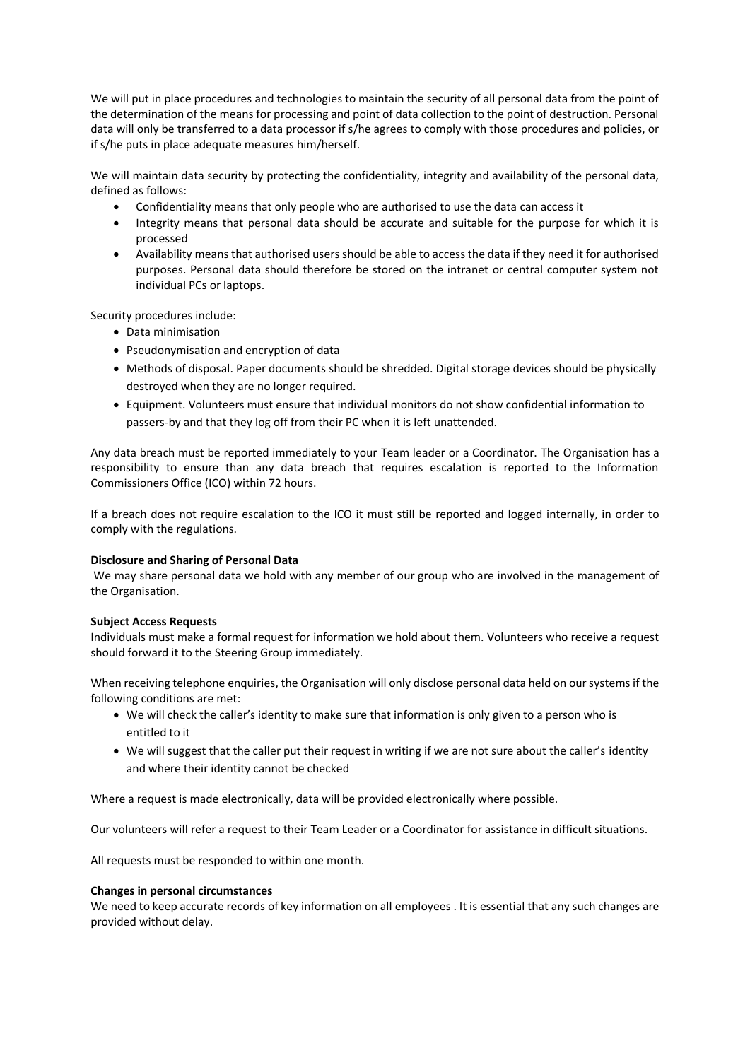We will put in place procedures and technologies to maintain the security of all personal data from the point of the determination of the means for processing and point of data collection to the point of destruction. Personal data will only be transferred to a data processor if s/he agrees to comply with those procedures and policies, or if s/he puts in place adequate measures him/herself.

We will maintain data security by protecting the confidentiality, integrity and availability of the personal data, defined as follows:

- Confidentiality means that only people who are authorised to use the data can access it
- Integrity means that personal data should be accurate and suitable for the purpose for which it is processed
- Availability means that authorised users should be able to access the data if they need it for authorised purposes. Personal data should therefore be stored on the intranet or central computer system not individual PCs or laptops.

Security procedures include:

- Data minimisation
- Pseudonymisation and encryption of data
- Methods of disposal. Paper documents should be shredded. Digital storage devices should be physically destroyed when they are no longer required.
- Equipment. Volunteers must ensure that individual monitors do not show confidential information to passers-by and that they log off from their PC when it is left unattended.

Any data breach must be reported immediately to your Team leader or a Coordinator. The Organisation has a responsibility to ensure than any data breach that requires escalation is reported to the Information Commissioners Office (ICO) within 72 hours.

If a breach does not require escalation to the ICO it must still be reported and logged internally, in order to comply with the regulations.

## **Disclosure and Sharing of Personal Data**

We may share personal data we hold with any member of our group who are involved in the management of the Organisation.

## **Subject Access Requests**

Individuals must make a formal request for information we hold about them. Volunteers who receive a request should forward it to the Steering Group immediately.

When receiving telephone enquiries, the Organisation will only disclose personal data held on our systems if the following conditions are met:

- We will check the caller's identity to make sure that information is only given to a person who is entitled to it
- We will suggest that the caller put their request in writing if we are not sure about the caller's identity and where their identity cannot be checked

Where a request is made electronically, data will be provided electronically where possible.

Our volunteers will refer a request to their Team Leader or a Coordinator for assistance in difficult situations.

All requests must be responded to within one month.

#### **Changes in personal circumstances**

We need to keep accurate records of key information on all employees . It is essential that any such changes are provided without delay.